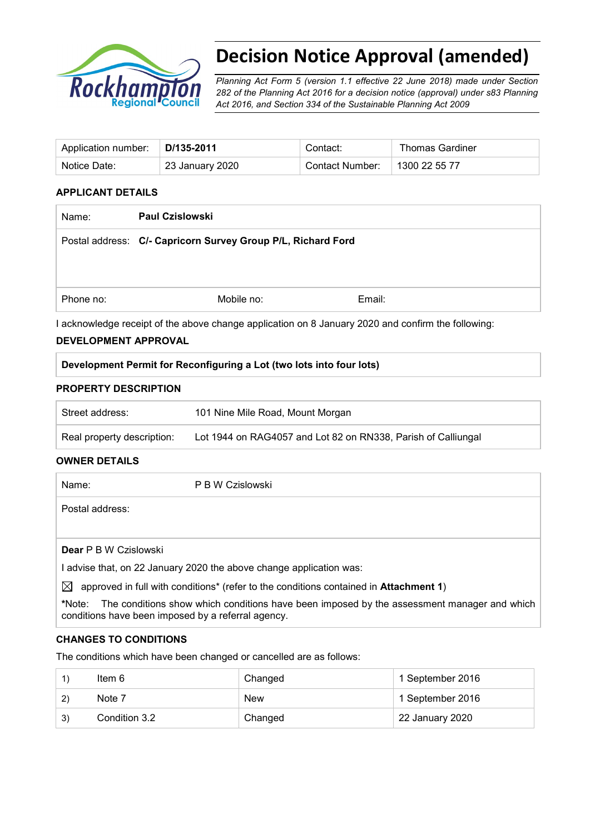

# **Decision Notice Approval (amended)**

*Planning Act Form 5 (version 1.1 effective 22 June 2018) made under Section 282 of the Planning Act 2016 for a decision notice (approval) under s83 Planning Act 2016, and Section 334 of the Sustainable Planning Act 2009*

| Application number: | D/135-2011      | Contact:        | <b>Thomas Gardiner</b> |
|---------------------|-----------------|-----------------|------------------------|
| Notice Date:        | 23 January 2020 | Contact Number: | 1300 22 55 77          |

## **APPLICANT DETAILS**

| Name:     | <b>Paul Czislowski</b>                                                                             |        |
|-----------|----------------------------------------------------------------------------------------------------|--------|
|           | Postal address: C/- Capricorn Survey Group P/L, Richard Ford                                       |        |
|           |                                                                                                    |        |
|           |                                                                                                    |        |
| Phone no: | Mobile no:                                                                                         | Email: |
|           | I acknowledge receipt of the above change application on 8 January 2020 and confirm the following: |        |

#### **DEVELOPMENT APPROVAL**

**Development Permit for Reconfiguring a Lot (two lots into four lots)**

## **PROPERTY DESCRIPTION**

| Street address:            | 101 Nine Mile Road, Mount Morgan                              |
|----------------------------|---------------------------------------------------------------|
| Real property description: | Lot 1944 on RAG4057 and Lot 82 on RN338, Parish of Calliungal |

## **OWNER DETAILS**

| Name:                        | P B W Czislowski                                                                      |
|------------------------------|---------------------------------------------------------------------------------------|
| Postal address:              |                                                                                       |
|                              |                                                                                       |
| <b>Dear</b> P B W Czislowski |                                                                                       |
|                              | I advise that, on 22 January 2020 the above change application was:                   |
| IX                           | approved in full with conditions* (refer to the conditions contained in Attachment 1) |

**\***Note:The conditions show which conditions have been imposed by the assessment manager and which conditions have been imposed by a referral agency.

## **CHANGES TO CONDITIONS**

The conditions which have been changed or cancelled are as follows:

|    | Item 6        | Changed    | 1 September 2016 |
|----|---------------|------------|------------------|
| 2) | Note 7        | <b>New</b> | 1 September 2016 |
| 3) | Condition 3.2 | Changed    | 22 January 2020  |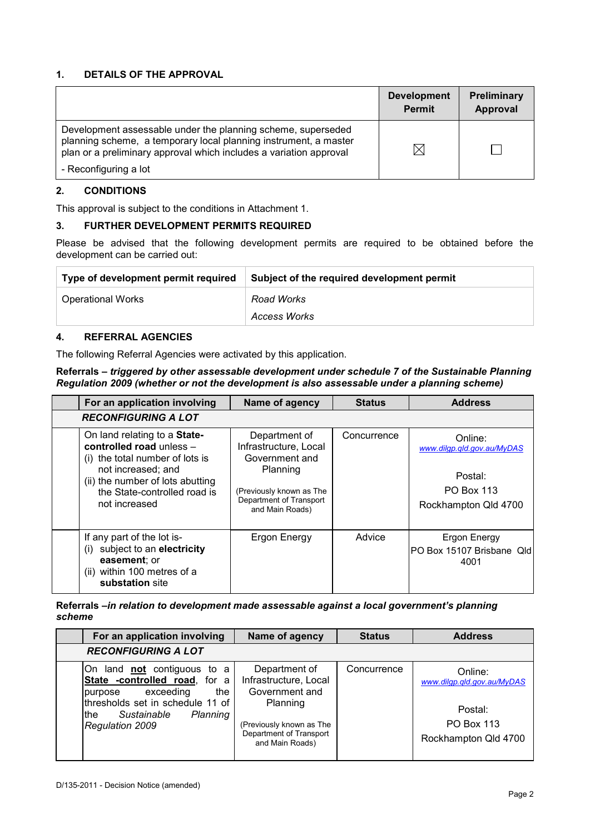## **1. DETAILS OF THE APPROVAL**

|                                                                                                                                                                                                                                 | <b>Development</b><br><b>Permit</b> | Preliminary<br>Approval |
|---------------------------------------------------------------------------------------------------------------------------------------------------------------------------------------------------------------------------------|-------------------------------------|-------------------------|
| Development assessable under the planning scheme, superseded<br>planning scheme, a temporary local planning instrument, a master<br>plan or a preliminary approval which includes a variation approval<br>- Reconfiguring a lot | IX                                  |                         |

### **2. CONDITIONS**

This approval is subject to the conditions in Attachment 1.

#### **3. FURTHER DEVELOPMENT PERMITS REQUIRED**

Please be advised that the following development permits are required to be obtained before the development can be carried out:

| Type of development permit required | Subject of the required development permit |
|-------------------------------------|--------------------------------------------|
| <b>Operational Works</b>            | Road Works                                 |
|                                     | Access Works                               |

## **4. REFERRAL AGENCIES**

The following Referral Agencies were activated by this application.

#### **Referrals** *– triggered by other assessable development under schedule 7 of the Sustainable Planning Regulation 2009 (whether or not the development is also assessable under a planning scheme)*

| For an application involving                                                                                                                                                                           | Name of agency                                                                                                                                 | <b>Status</b> | <b>Address</b>                                                                                |
|--------------------------------------------------------------------------------------------------------------------------------------------------------------------------------------------------------|------------------------------------------------------------------------------------------------------------------------------------------------|---------------|-----------------------------------------------------------------------------------------------|
| <b>RECONFIGURING A LOT</b>                                                                                                                                                                             |                                                                                                                                                |               |                                                                                               |
| On land relating to a State-<br>controlled road unless -<br>(i) the total number of lots is<br>not increased; and<br>(ii) the number of lots abutting<br>the State-controlled road is<br>not increased | Department of<br>Infrastructure, Local<br>Government and<br>Planning<br>(Previously known as The<br>Department of Transport<br>and Main Roads) | Concurrence   | Online:<br>www.dilgp.gld.gov.au/MyDAS<br>Postal:<br><b>PO Box 113</b><br>Rockhampton Qld 4700 |
| If any part of the lot is-<br>subject to an electricity<br>(i)<br>easement; or<br>(ii) within 100 metres of a<br>substation site                                                                       | Ergon Energy                                                                                                                                   | Advice        | Ergon Energy<br>PO Box 15107 Brisbane Qld<br>4001                                             |

**Referrals** *–in relation to development made assessable against a local government's planning scheme*

| For an application involving                                                                                                                                                          | Name of agency                                                                                                                                 | <b>Status</b> | <b>Address</b>                                                                                |
|---------------------------------------------------------------------------------------------------------------------------------------------------------------------------------------|------------------------------------------------------------------------------------------------------------------------------------------------|---------------|-----------------------------------------------------------------------------------------------|
| <b>RECONFIGURING A LOT</b>                                                                                                                                                            |                                                                                                                                                |               |                                                                                               |
| On land not contiguous to a<br>State -controlled road, for a<br>the<br>exceeding<br>purpose<br>thresholds set in schedule 11 of<br>Sustainable<br>Planning<br>lthe<br>Regulation 2009 | Department of<br>Infrastructure, Local<br>Government and<br>Planning<br>(Previously known as The<br>Department of Transport<br>and Main Roads) | Concurrence   | Online:<br>www.dilgp.gld.gov.au/MyDAS<br>Postal:<br><b>PO Box 113</b><br>Rockhampton Qld 4700 |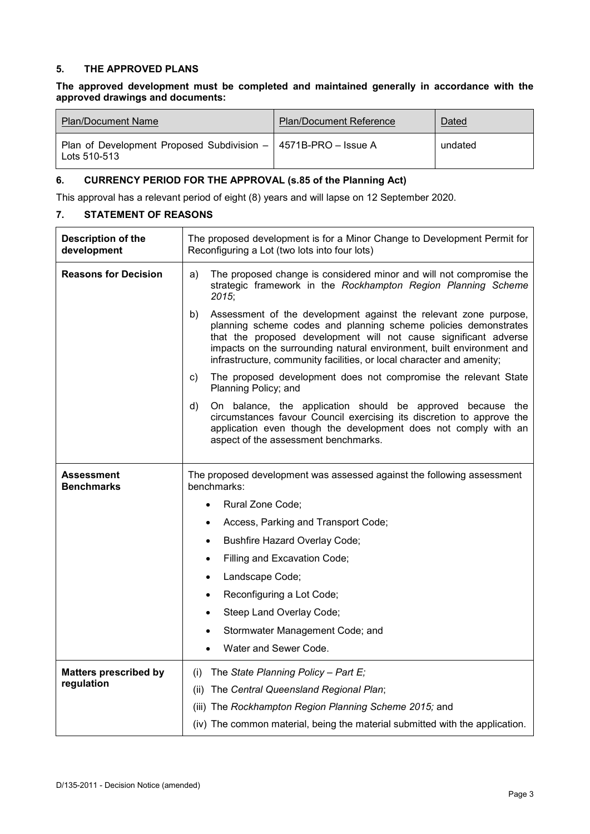### **5. THE APPROVED PLANS**

#### **The approved development must be completed and maintained generally in accordance with the approved drawings and documents:**

| Plan/Document Name                                                               | <b>Plan/Document Reference</b> | Dated   |
|----------------------------------------------------------------------------------|--------------------------------|---------|
| Plan of Development Proposed Subdivision -   4571B-PRO - Issue A<br>Lots 510-513 |                                | undated |

## **6. CURRENCY PERIOD FOR THE APPROVAL (s.85 of the Planning Act)**

This approval has a relevant period of eight (8) years and will lapse on 12 September 2020.

### **7. STATEMENT OF REASONS**

| <b>Description of the</b><br>development | The proposed development is for a Minor Change to Development Permit for<br>Reconfiguring a Lot (two lots into four lots)                                                                                                                                                                                                                                       |  |  |
|------------------------------------------|-----------------------------------------------------------------------------------------------------------------------------------------------------------------------------------------------------------------------------------------------------------------------------------------------------------------------------------------------------------------|--|--|
| <b>Reasons for Decision</b>              | a)<br>The proposed change is considered minor and will not compromise the<br>strategic framework in the Rockhampton Region Planning Scheme<br>2015;                                                                                                                                                                                                             |  |  |
|                                          | Assessment of the development against the relevant zone purpose,<br>b)<br>planning scheme codes and planning scheme policies demonstrates<br>that the proposed development will not cause significant adverse<br>impacts on the surrounding natural environment, built environment and<br>infrastructure, community facilities, or local character and amenity; |  |  |
|                                          | The proposed development does not compromise the relevant State<br>C)<br>Planning Policy; and                                                                                                                                                                                                                                                                   |  |  |
|                                          | On balance, the application should be approved because the<br>d)<br>circumstances favour Council exercising its discretion to approve the<br>application even though the development does not comply with an<br>aspect of the assessment benchmarks.                                                                                                            |  |  |
| <b>Assessment</b><br><b>Benchmarks</b>   | The proposed development was assessed against the following assessment<br>benchmarks:                                                                                                                                                                                                                                                                           |  |  |
|                                          | Rural Zone Code;                                                                                                                                                                                                                                                                                                                                                |  |  |
|                                          | Access, Parking and Transport Code;                                                                                                                                                                                                                                                                                                                             |  |  |
|                                          | <b>Bushfire Hazard Overlay Code;</b><br>$\bullet$                                                                                                                                                                                                                                                                                                               |  |  |
|                                          | Filling and Excavation Code;                                                                                                                                                                                                                                                                                                                                    |  |  |
|                                          | Landscape Code;<br>$\bullet$                                                                                                                                                                                                                                                                                                                                    |  |  |
|                                          | Reconfiguring a Lot Code;                                                                                                                                                                                                                                                                                                                                       |  |  |
|                                          | Steep Land Overlay Code;                                                                                                                                                                                                                                                                                                                                        |  |  |
|                                          | Stormwater Management Code; and                                                                                                                                                                                                                                                                                                                                 |  |  |
|                                          | Water and Sewer Code.                                                                                                                                                                                                                                                                                                                                           |  |  |
| <b>Matters prescribed by</b>             | The State Planning Policy - Part E;<br>(i)                                                                                                                                                                                                                                                                                                                      |  |  |
| regulation                               | The Central Queensland Regional Plan;<br>(ii)                                                                                                                                                                                                                                                                                                                   |  |  |
|                                          | (iii) The Rockhampton Region Planning Scheme 2015; and                                                                                                                                                                                                                                                                                                          |  |  |
|                                          | (iv) The common material, being the material submitted with the application.                                                                                                                                                                                                                                                                                    |  |  |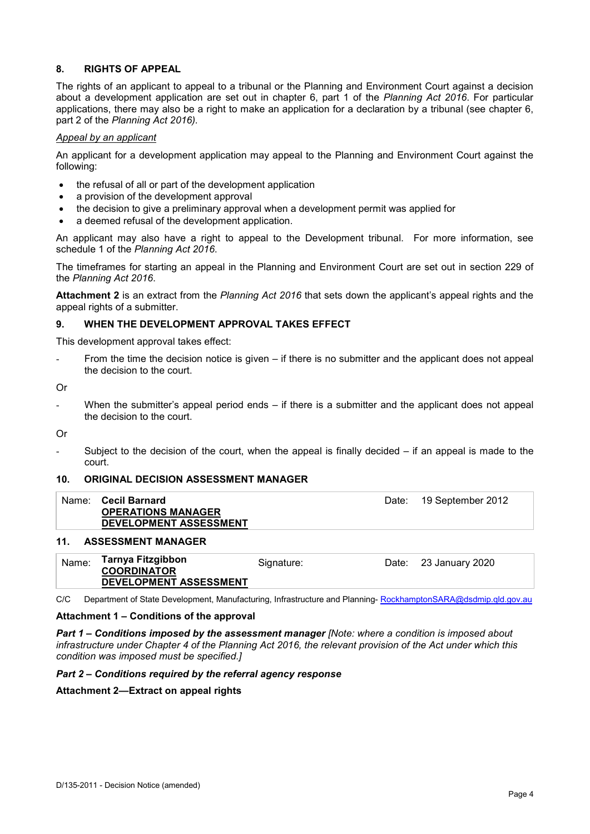#### **8. RIGHTS OF APPEAL**

The rights of an applicant to appeal to a tribunal or the Planning and Environment Court against a decision about a development application are set out in chapter 6, part 1 of the *Planning Act 2016*. For particular applications, there may also be a right to make an application for a declaration by a tribunal (see chapter 6, part 2 of the *Planning Act 2016).*

#### *Appeal by an applicant*

An applicant for a development application may appeal to the Planning and Environment Court against the following:

- the refusal of all or part of the development application
- a provision of the development approval
- the decision to give a preliminary approval when a development permit was applied for
- a deemed refusal of the development application.

An applicant may also have a right to appeal to the Development tribunal. For more information, see schedule 1 of the *Planning Act 2016*.

The timeframes for starting an appeal in the Planning and Environment Court are set out in section 229 of the *Planning Act 2016*.

**Attachment 2** is an extract from the *Planning Act 2016* that sets down the applicant's appeal rights and the appeal rights of a submitter.

#### **9. WHEN THE DEVELOPMENT APPROVAL TAKES EFFECT**

This development approval takes effect:

From the time the decision notice is given – if there is no submitter and the applicant does not appeal the decision to the court.

Or

When the submitter's appeal period ends  $-$  if there is a submitter and the applicant does not appeal the decision to the court.

Or

Subject to the decision of the court, when the appeal is finally decided  $-$  if an appeal is made to the court.

#### **10. ORIGINAL DECISION ASSESSMENT MANAGER**

| <b>OPERATIONS MANAGER</b><br>DEVELOPMENT ASSESSMENT |  |
|-----------------------------------------------------|--|

#### **11. ASSESSMENT MANAGER**

| Name: | Tarnya Fitzgibbon<br><b>COORDINATOR</b> | Signature: | Date: 23 January 2020 |
|-------|-----------------------------------------|------------|-----------------------|
|       | DEVELOPMENT ASSESSMENT                  |            |                       |

C/C Department of State Development, Manufacturing, Infrastructure and Planning-[RockhamptonSARA@dsdmip.qld.gov.au](mailto:RockhamptonSARA@dsdmip.qld.gov.au)

#### **Attachment 1 – Conditions of the approval**

*Part 1* **–** *Conditions imposed by the assessment manager [Note: where a condition is imposed about infrastructure under Chapter 4 of the Planning Act 2016, the relevant provision of the Act under which this condition was imposed must be specified.]*

#### *Part 2 – Conditions required by the referral agency response*

**Attachment 2—Extract on appeal rights**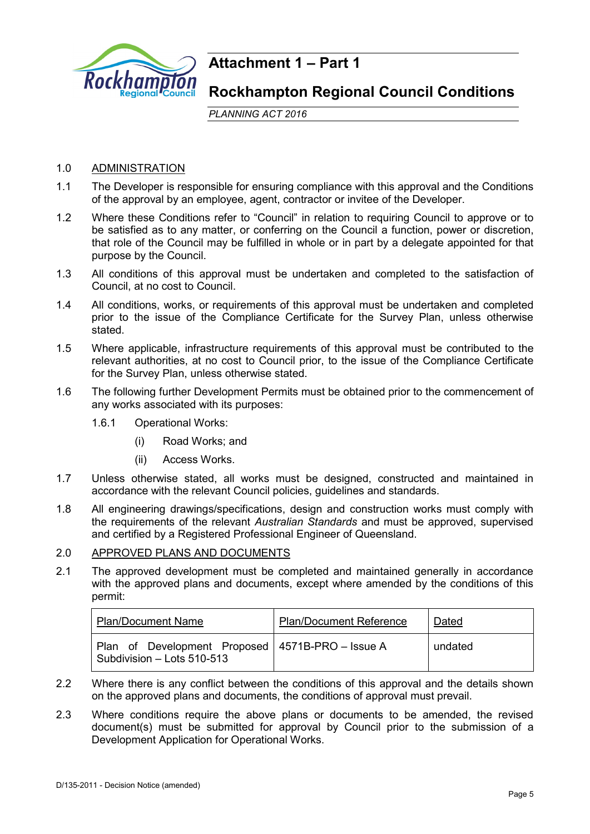

## **Attachment 1 – Part 1**

## **Rockhampton Regional Council Conditions**

*PLANNING ACT 2016*

## 1.0 ADMINISTRATION

- 1.1 The Developer is responsible for ensuring compliance with this approval and the Conditions of the approval by an employee, agent, contractor or invitee of the Developer.
- 1.2 Where these Conditions refer to "Council" in relation to requiring Council to approve or to be satisfied as to any matter, or conferring on the Council a function, power or discretion, that role of the Council may be fulfilled in whole or in part by a delegate appointed for that purpose by the Council.
- 1.3 All conditions of this approval must be undertaken and completed to the satisfaction of Council, at no cost to Council.
- 1.4 All conditions, works, or requirements of this approval must be undertaken and completed prior to the issue of the Compliance Certificate for the Survey Plan, unless otherwise stated.
- 1.5 Where applicable, infrastructure requirements of this approval must be contributed to the relevant authorities, at no cost to Council prior, to the issue of the Compliance Certificate for the Survey Plan, unless otherwise stated.
- 1.6 The following further Development Permits must be obtained prior to the commencement of any works associated with its purposes:
	- 1.6.1 Operational Works:
		- (i) Road Works; and
		- (ii) Access Works.
- 1.7 Unless otherwise stated, all works must be designed, constructed and maintained in accordance with the relevant Council policies, guidelines and standards.
- 1.8 All engineering drawings/specifications, design and construction works must comply with the requirements of the relevant *Australian Standards* and must be approved, supervised and certified by a Registered Professional Engineer of Queensland.

## 2.0 APPROVED PLANS AND DOCUMENTS

2.1 The approved development must be completed and maintained generally in accordance with the approved plans and documents, except where amended by the conditions of this permit:

| <b>Plan/Document Name</b>                                                        | <b>Plan/Document Reference</b> | Dated   |
|----------------------------------------------------------------------------------|--------------------------------|---------|
| Plan of Development Proposed   4571B-PRO – Issue A<br>Subdivision - Lots 510-513 |                                | undated |

- 2.2 Where there is any conflict between the conditions of this approval and the details shown on the approved plans and documents, the conditions of approval must prevail.
- 2.3 Where conditions require the above plans or documents to be amended, the revised document(s) must be submitted for approval by Council prior to the submission of a Development Application for Operational Works.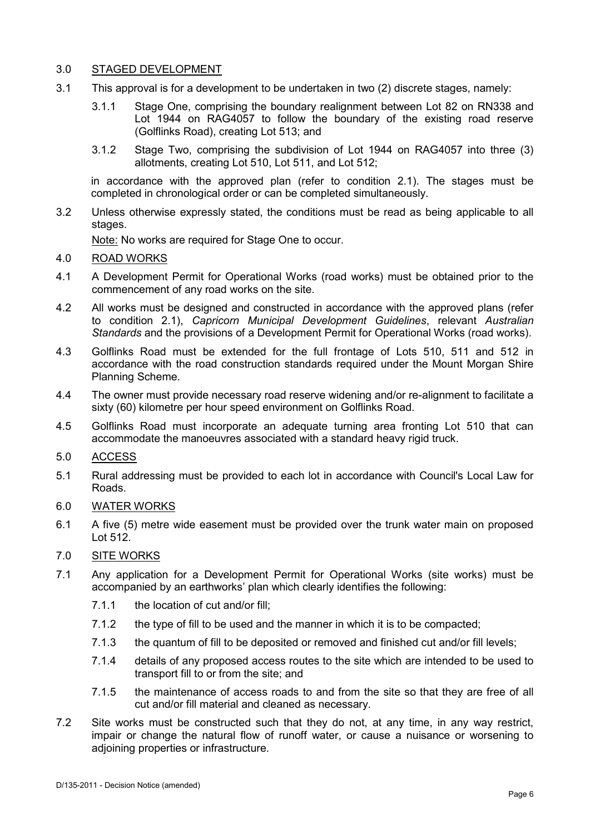## 3.0 STAGED DEVELOPMENT

- 3.1 This approval is for a development to be undertaken in two (2) discrete stages, namely:
	- 3.1.1 Stage One, comprising the boundary realignment between Lot 82 on RN338 and Lot 1944 on RAG4057 to follow the boundary of the existing road reserve (Golflinks Road), creating Lot 513; and
	- 3.1.2 Stage Two, comprising the subdivision of Lot 1944 on RAG4057 into three (3) allotments, creating Lot 510, Lot 511, and Lot 512;

in accordance with the approved plan (refer to condition 2.1). The stages must be completed in chronological order or can be completed simultaneously.

3.2 Unless otherwise expressly stated, the conditions must be read as being applicable to all stages.

Note: No works are required for Stage One to occur.

- 4.0 ROAD WORKS
- 4.1 A Development Permit for Operational Works (road works) must be obtained prior to the commencement of any road works on the site.
- 4.2 All works must be designed and constructed in accordance with the approved plans (refer to condition 2.1), *Capricorn Municipal Development Guidelines*, relevant *Australian Standards* and the provisions of a Development Permit for Operational Works (road works).
- 4.3 Golflinks Road must be extended for the full frontage of Lots 510, 511 and 512 in accordance with the road construction standards required under the Mount Morgan Shire Planning Scheme.
- 4.4 The owner must provide necessary road reserve widening and/or re-alignment to facilitate a sixty (60) kilometre per hour speed environment on Golflinks Road.
- 4.5 Golflinks Road must incorporate an adequate turning area fronting Lot 510 that can accommodate the manoeuvres associated with a standard heavy rigid truck.

## 5.0 ACCESS

- 5.1 Rural addressing must be provided to each lot in accordance with Council's Local Law for Roads.
- 6.0 WATER WORKS
- 6.1 A five (5) metre wide easement must be provided over the trunk water main on proposed  $Let 512.$

## 7.0 SITE WORKS

- 7.1 Any application for a Development Permit for Operational Works (site works) must be accompanied by an earthworks' plan which clearly identifies the following:
	- 7.1.1 the location of cut and/or fill;
	- 7.1.2 the type of fill to be used and the manner in which it is to be compacted;
	- 7.1.3 the quantum of fill to be deposited or removed and finished cut and/or fill levels;
	- 7.1.4 details of any proposed access routes to the site which are intended to be used to transport fill to or from the site; and
	- 7.1.5 the maintenance of access roads to and from the site so that they are free of all cut and/or fill material and cleaned as necessary.
- 7.2 Site works must be constructed such that they do not, at any time, in any way restrict, impair or change the natural flow of runoff water, or cause a nuisance or worsening to adjoining properties or infrastructure.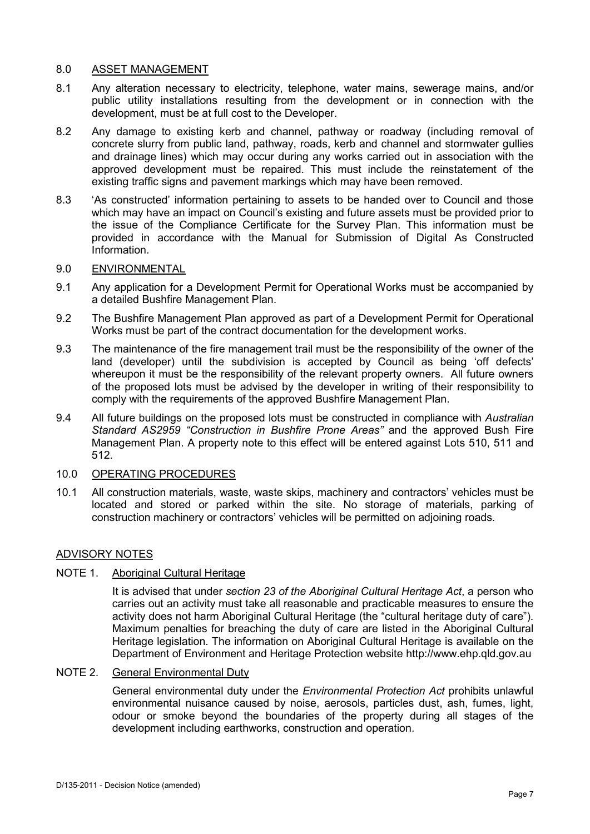### 8.0 ASSET MANAGEMENT

- 8.1 Any alteration necessary to electricity, telephone, water mains, sewerage mains, and/or public utility installations resulting from the development or in connection with the development, must be at full cost to the Developer.
- 8.2 Any damage to existing kerb and channel, pathway or roadway (including removal of concrete slurry from public land, pathway, roads, kerb and channel and stormwater gullies and drainage lines) which may occur during any works carried out in association with the approved development must be repaired. This must include the reinstatement of the existing traffic signs and pavement markings which may have been removed.
- 8.3 'As constructed' information pertaining to assets to be handed over to Council and those which may have an impact on Council's existing and future assets must be provided prior to the issue of the Compliance Certificate for the Survey Plan. This information must be provided in accordance with the Manual for Submission of Digital As Constructed Information.

## 9.0 ENVIRONMENTAL

- 9.1 Any application for a Development Permit for Operational Works must be accompanied by a detailed Bushfire Management Plan.
- 9.2 The Bushfire Management Plan approved as part of a Development Permit for Operational Works must be part of the contract documentation for the development works.
- 9.3 The maintenance of the fire management trail must be the responsibility of the owner of the land (developer) until the subdivision is accepted by Council as being 'off defects' whereupon it must be the responsibility of the relevant property owners. All future owners of the proposed lots must be advised by the developer in writing of their responsibility to comply with the requirements of the approved Bushfire Management Plan.
- 9.4 All future buildings on the proposed lots must be constructed in compliance with *Australian Standard AS2959 "Construction in Bushfire Prone Areas"* and the approved Bush Fire Management Plan. A property note to this effect will be entered against Lots 510, 511 and 512.

## 10.0 OPERATING PROCEDURES

10.1 All construction materials, waste, waste skips, machinery and contractors' vehicles must be located and stored or parked within the site. No storage of materials, parking of construction machinery or contractors' vehicles will be permitted on adjoining roads.

#### ADVISORY NOTES

### NOTE 1. Aboriginal Cultural Heritage

It is advised that under *section 23 of the Aboriginal Cultural Heritage Act*, a person who carries out an activity must take all reasonable and practicable measures to ensure the activity does not harm Aboriginal Cultural Heritage (the "cultural heritage duty of care"). Maximum penalties for breaching the duty of care are listed in the Aboriginal Cultural Heritage legislation. The information on Aboriginal Cultural Heritage is available on the Department of Environment and Heritage Protection website http://www.ehp.qld.gov.au

NOTE 2. General Environmental Duty

General environmental duty under the *Environmental Protection Act* prohibits unlawful environmental nuisance caused by noise, aerosols, particles dust, ash, fumes, light, odour or smoke beyond the boundaries of the property during all stages of the development including earthworks, construction and operation.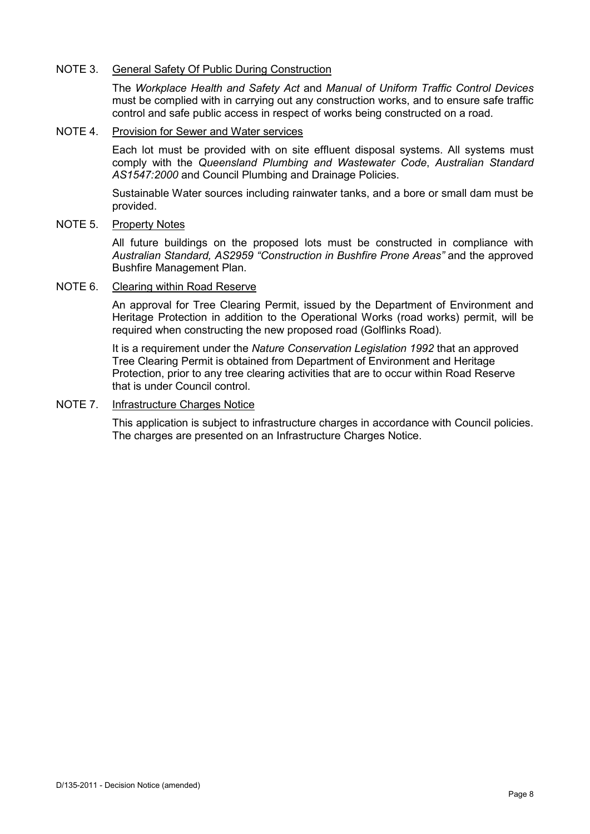### NOTE 3. General Safety Of Public During Construction

The *Workplace Health and Safety Act* and *Manual of Uniform Traffic Control Devices* must be complied with in carrying out any construction works, and to ensure safe traffic control and safe public access in respect of works being constructed on a road.

#### NOTE 4. Provision for Sewer and Water services

Each lot must be provided with on site effluent disposal systems. All systems must comply with the *Queensland Plumbing and Wastewater Code*, *Australian Standard AS1547:2000* and Council Plumbing and Drainage Policies.

Sustainable Water sources including rainwater tanks, and a bore or small dam must be provided.

## NOTE 5. Property Notes

All future buildings on the proposed lots must be constructed in compliance with *Australian Standard, AS2959 "Construction in Bushfire Prone Areas"* and the approved Bushfire Management Plan.

### NOTE 6. Clearing within Road Reserve

An approval for Tree Clearing Permit, issued by the Department of Environment and Heritage Protection in addition to the Operational Works (road works) permit, will be required when constructing the new proposed road (Golflinks Road).

It is a requirement under the *Nature Conservation Legislation 1992* that an approved Tree Clearing Permit is obtained from Department of Environment and Heritage Protection, prior to any tree clearing activities that are to occur within Road Reserve that is under Council control.

### NOTE 7. Infrastructure Charges Notice

This application is subject to infrastructure charges in accordance with Council policies. The charges are presented on an Infrastructure Charges Notice.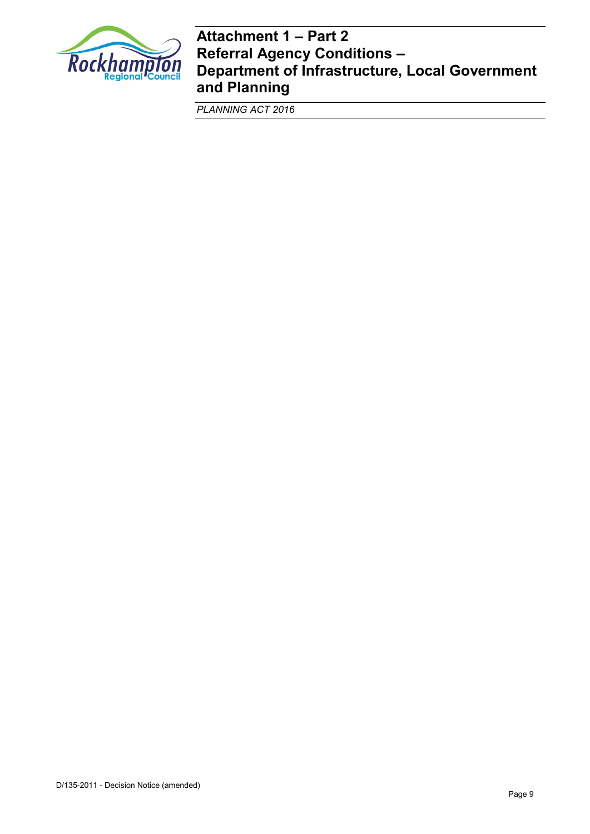

## **Attachment 1 – Part 2 Referral Agency Conditions – Department of Infrastructure, Local Government and Planning**

*PLANNING ACT 2016*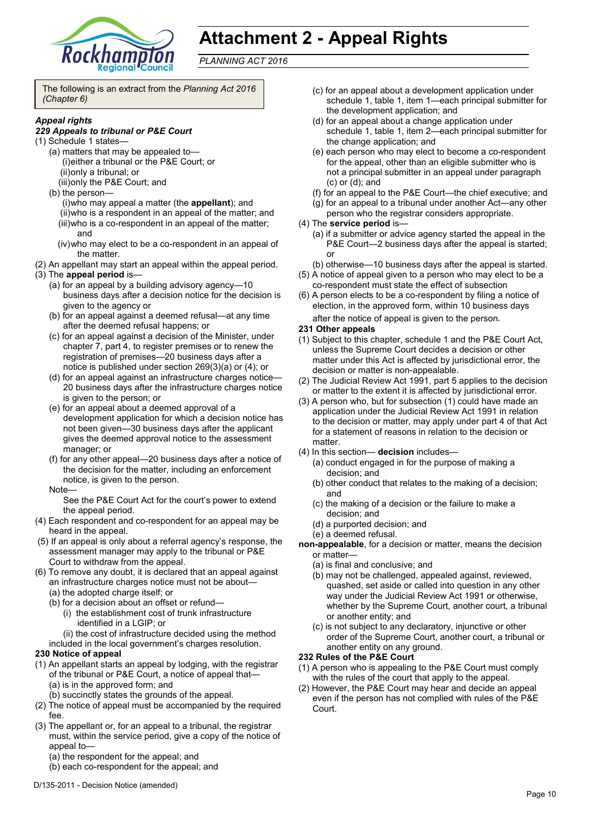

# **Attachment 2 - Appeal Rights**

*PLANNING ACT 2016*

The following is an extract from the *Planning Act 2016 (Chapter 6)*

#### *Appeal rights*

#### *229 Appeals to tribunal or P&E Court*

- (1) Schedule 1 states—
	- (a) matters that may be appealed to— (i)either a tribunal or the P&E Court; or (ii)only a tribunal; or
		- (iii)only the P&E Court; and
	- (b) the person—

(i)who may appeal a matter (the **appellant**); and (ii)who is a respondent in an appeal of the matter; and (iii)who is a co-respondent in an appeal of the matter; and

- (iv)who may elect to be a co-respondent in an appeal of the matter.
- (2) An appellant may start an appeal within the appeal period.
- (3) The **appeal period** is—
	- (a) for an appeal by a building advisory agency—10 business days after a decision notice for the decision is given to the agency or
	- (b) for an appeal against a deemed refusal—at any time after the deemed refusal happens; or
	- (c) for an appeal against a decision of the Minister, under chapter 7, part 4, to register premises or to renew the registration of premises—20 business days after a notice is published under section 269(3)(a) or (4); or
	- (d) for an appeal against an infrastructure charges notice— 20 business days after the infrastructure charges notice is given to the person; or
	- (e) for an appeal about a deemed approval of a development application for which a decision notice has not been given—30 business days after the applicant gives the deemed approval notice to the assessment manager; or
	- (f) for any other appeal—20 business days after a notice of the decision for the matter, including an enforcement notice, is given to the person.
	- Note—

See the P&E Court Act for the court's power to extend the appeal period.

- (4) Each respondent and co-respondent for an appeal may be heard in the appeal.
- (5) If an appeal is only about a referral agency's response, the assessment manager may apply to the tribunal or P&E Court to withdraw from the appeal.
- (6) To remove any doubt, it is declared that an appeal against an infrastructure charges notice must not be about—
	- (a) the adopted charge itself; or
	- (b) for a decision about an offset or refund—
		- (i) the establishment cost of trunk infrastructure identified in a LGIP; or
		- (ii) the cost of infrastructure decided using the method
	- included in the local government's charges resolution.

#### **230 Notice of appeal**

- (1) An appellant starts an appeal by lodging, with the registrar of the tribunal or P&E Court, a notice of appeal that— (a) is in the approved form; and
	- (b) succinctly states the grounds of the appeal.
- (2) The notice of appeal must be accompanied by the required fee.
- (3) The appellant or, for an appeal to a tribunal, the registrar must, within the service period, give a copy of the notice of appeal to—
	- (a) the respondent for the appeal; and
	- (b) each co-respondent for the appeal; and
- (c) for an appeal about a development application under schedule 1, table 1, item 1—each principal submitter for the development application; and
- (d) for an appeal about a change application under schedule 1, table 1, item 2—each principal submitter for the change application; and
- (e) each person who may elect to become a co-respondent for the appeal, other than an eligible submitter who is not a principal submitter in an appeal under paragraph (c) or (d); and
- (f) for an appeal to the P&E Court—the chief executive; and
- (g) for an appeal to a tribunal under another Act—any other
- person who the registrar considers appropriate.
- (4) The **service period** is—
	- (a) if a submitter or advice agency started the appeal in the P&E Court—2 business days after the appeal is started; or
	- (b) otherwise—10 business days after the appeal is started.
- (5) A notice of appeal given to a person who may elect to be a co-respondent must state the effect of subsection
- (6) A person elects to be a co-respondent by filing a notice of election, in the approved form, within 10 business days after the notice of appeal is given to the person*.*

#### **231 Other appeals**

- (1) Subject to this chapter, schedule 1 and the P&E Court Act, unless the Supreme Court decides a decision or other matter under this Act is affected by jurisdictional error, the decision or matter is non-appealable.
- (2) The Judicial Review Act 1991, part 5 applies to the decision or matter to the extent it is affected by jurisdictional error.
- (3) A person who, but for subsection (1) could have made an application under the Judicial Review Act 1991 in relation to the decision or matter, may apply under part 4 of that Act for a statement of reasons in relation to the decision or matter.
- (4) In this section— **decision** includes—
	- (a) conduct engaged in for the purpose of making a decision; and
	- (b) other conduct that relates to the making of a decision; and
	- (c) the making of a decision or the failure to make a decision; and
	- (d) a purported decision; and
	- (e) a deemed refusal.
- **non-appealable**, for a decision or matter, means the decision or matter—
	- (a) is final and conclusive; and
	- (b) may not be challenged, appealed against, reviewed, quashed, set aside or called into question in any other way under the Judicial Review Act 1991 or otherwise, whether by the Supreme Court, another court, a tribunal or another entity; and
	- (c) is not subject to any declaratory, injunctive or other order of the Supreme Court, another court, a tribunal or another entity on any ground.

#### **232 Rules of the P&E Court**

- (1) A person who is appealing to the P&E Court must comply with the rules of the court that apply to the appeal.
- (2) However, the P&E Court may hear and decide an appeal even if the person has not complied with rules of the P&E Court.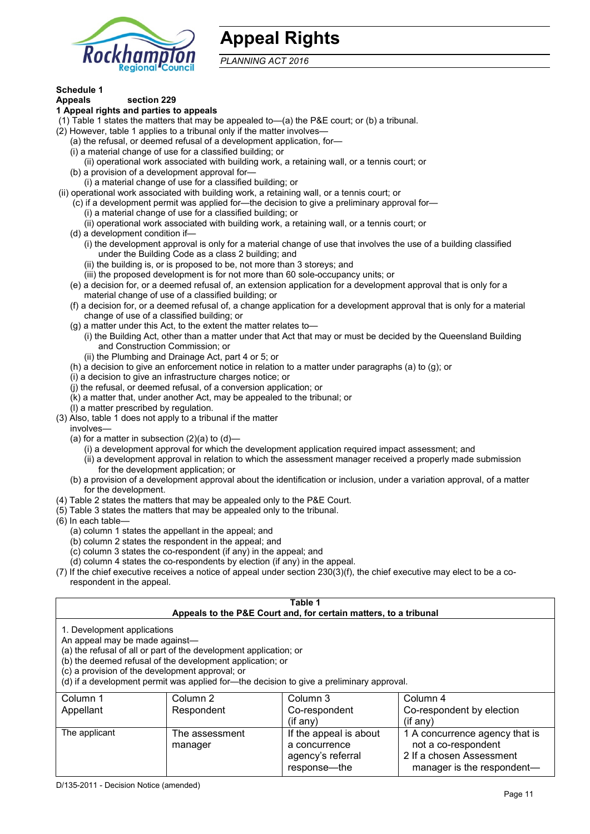

## **Appeal Rights**

*PLANNING ACT 2016*

## **Schedule 1**

#### **Appeals section 229 1 Appeal rights and parties to appeals**

- (1) Table 1 states the matters that may be appealed to—(a) the P&E court; or (b) a tribunal.
- (2) However, table 1 applies to a tribunal only if the matter involves—
	- (a) the refusal, or deemed refusal of a development application, for—
	- (i) a material change of use for a classified building; or
	- (ii) operational work associated with building work, a retaining wall, or a tennis court; or
	- (b) a provision of a development approval for—
	- (i) a material change of use for a classified building; or
- (ii) operational work associated with building work, a retaining wall, or a tennis court; or
	- (c) if a development permit was applied for—the decision to give a preliminary approval for—
		- (i) a material change of use for a classified building; or
		- (ii) operational work associated with building work, a retaining wall, or a tennis court; or
	- (d) a development condition if—
		- (i) the development approval is only for a material change of use that involves the use of a building classified under the Building Code as a class 2 building; and
		- (ii) the building is, or is proposed to be, not more than 3 storeys; and
		- (iii) the proposed development is for not more than 60 sole-occupancy units; or
	- (e) a decision for, or a deemed refusal of, an extension application for a development approval that is only for a material change of use of a classified building; or
	- (f) a decision for, or a deemed refusal of, a change application for a development approval that is only for a material change of use of a classified building; or
	- (g) a matter under this Act, to the extent the matter relates to—
		- (i) the Building Act, other than a matter under that Act that may or must be decided by the Queensland Building and Construction Commission; or
		- (ii) the Plumbing and Drainage Act, part 4 or 5; or
	- (h) a decision to give an enforcement notice in relation to a matter under paragraphs (a) to (g); or
	- (i) a decision to give an infrastructure charges notice; or
	- (j) the refusal, or deemed refusal, of a conversion application; or
	- (k) a matter that, under another Act, may be appealed to the tribunal; or
	- (l) a matter prescribed by regulation.
- (3) Also, table 1 does not apply to a tribunal if the matter
- involves—
	- (a) for a matter in subsection  $(2)(a)$  to  $(d)$ 
		- (i) a development approval for which the development application required impact assessment; and
		- (ii) a development approval in relation to which the assessment manager received a properly made submission for the development application; or
	- (b) a provision of a development approval about the identification or inclusion, under a variation approval, of a matter for the development.
- (4) Table 2 states the matters that may be appealed only to the P&E Court.
- (5) Table 3 states the matters that may be appealed only to the tribunal.
- (6) In each table—
	- (a) column 1 states the appellant in the appeal; and
	- (b) column 2 states the respondent in the appeal; and
	- (c) column 3 states the co-respondent (if any) in the appeal; and
	- (d) column 4 states the co-respondents by election (if any) in the appeal.
- (7) If the chief executive receives a notice of appeal under section 230(3)(f), the chief executive may elect to be a corespondent in the appeal.

| Table 1<br>Appeals to the P&E Court and, for certain matters, to a tribunal                                                                                                                                                                                                                                                                    |                           |                                                                              |                                                                                                                 |  |
|------------------------------------------------------------------------------------------------------------------------------------------------------------------------------------------------------------------------------------------------------------------------------------------------------------------------------------------------|---------------------------|------------------------------------------------------------------------------|-----------------------------------------------------------------------------------------------------------------|--|
| 1. Development applications<br>An appeal may be made against-<br>(a) the refusal of all or part of the development application; or<br>(b) the deemed refusal of the development application; or<br>(c) a provision of the development approval; or<br>(d) if a development permit was applied for—the decision to give a preliminary approval. |                           |                                                                              |                                                                                                                 |  |
| Column 1<br>Appellant                                                                                                                                                                                                                                                                                                                          | Column 2<br>Respondent    | Column 3<br>Co-respondent<br>$($ if any $)$                                  | Column 4<br>Co-respondent by election<br>$(i$ f anv $)$                                                         |  |
| The applicant                                                                                                                                                                                                                                                                                                                                  | The assessment<br>manager | If the appeal is about<br>a concurrence<br>agency's referral<br>response—the | 1 A concurrence agency that is<br>not a co-respondent<br>2 If a chosen Assessment<br>manager is the respondent- |  |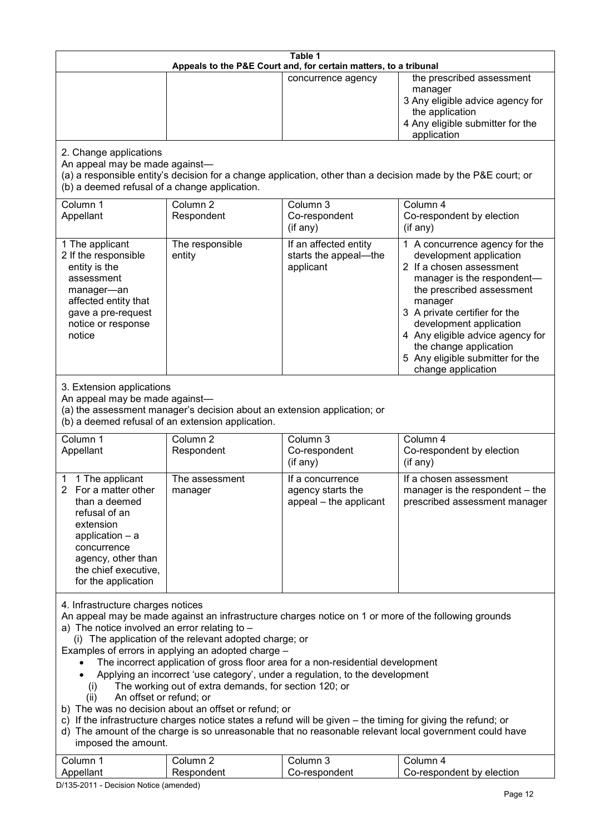| Table 1                                                                                                                                                                                                                    |                                                                                                                                                                                                                                           |                                                                                                                                                                                                                                                                                                                                                                                                     |                                                                                                                                                                                                                                                                                                                                                 |  |
|----------------------------------------------------------------------------------------------------------------------------------------------------------------------------------------------------------------------------|-------------------------------------------------------------------------------------------------------------------------------------------------------------------------------------------------------------------------------------------|-----------------------------------------------------------------------------------------------------------------------------------------------------------------------------------------------------------------------------------------------------------------------------------------------------------------------------------------------------------------------------------------------------|-------------------------------------------------------------------------------------------------------------------------------------------------------------------------------------------------------------------------------------------------------------------------------------------------------------------------------------------------|--|
| Appeals to the P&E Court and, for certain matters, to a tribunal                                                                                                                                                           |                                                                                                                                                                                                                                           |                                                                                                                                                                                                                                                                                                                                                                                                     |                                                                                                                                                                                                                                                                                                                                                 |  |
|                                                                                                                                                                                                                            |                                                                                                                                                                                                                                           | concurrence agency                                                                                                                                                                                                                                                                                                                                                                                  | the prescribed assessment<br>manager<br>3 Any eligible advice agency for<br>the application<br>4 Any eligible submitter for the<br>application                                                                                                                                                                                                  |  |
| 2. Change applications<br>An appeal may be made against-<br>(a) a responsible entity's decision for a change application, other than a decision made by the P&E court; or<br>(b) a deemed refusal of a change application. |                                                                                                                                                                                                                                           |                                                                                                                                                                                                                                                                                                                                                                                                     |                                                                                                                                                                                                                                                                                                                                                 |  |
| Column 1<br>Appellant                                                                                                                                                                                                      | Column <sub>2</sub><br>Respondent                                                                                                                                                                                                         | Column 3<br>Co-respondent<br>(if any)                                                                                                                                                                                                                                                                                                                                                               | Column 4<br>Co-respondent by election<br>(if any)                                                                                                                                                                                                                                                                                               |  |
| 1 The applicant<br>2 If the responsible<br>entity is the<br>assessment<br>manager-an<br>affected entity that<br>gave a pre-request<br>notice or response<br>notice                                                         | The responsible<br>entity                                                                                                                                                                                                                 | If an affected entity<br>starts the appeal-the<br>applicant                                                                                                                                                                                                                                                                                                                                         | 1 A concurrence agency for the<br>development application<br>2 If a chosen assessment<br>manager is the respondent-<br>the prescribed assessment<br>manager<br>3 A private certifier for the<br>development application<br>4 Any eligible advice agency for<br>the change application<br>5 Any eligible submitter for the<br>change application |  |
| 3. Extension applications<br>An appeal may be made against-<br>(a) the assessment manager's decision about an extension application; or<br>(b) a deemed refusal of an extension application.                               |                                                                                                                                                                                                                                           |                                                                                                                                                                                                                                                                                                                                                                                                     |                                                                                                                                                                                                                                                                                                                                                 |  |
| Column 1<br>Appellant                                                                                                                                                                                                      | Column <sub>2</sub><br>Respondent                                                                                                                                                                                                         | Column 3<br>Co-respondent<br>(if any)                                                                                                                                                                                                                                                                                                                                                               | Column 4<br>Co-respondent by election<br>(if any)                                                                                                                                                                                                                                                                                               |  |
| 1 The applicant<br>2 For a matter other<br>than a deemed<br>refusal of an<br>extension<br>application $-$ a<br>concurrence<br>agency, other than<br>the chief executive,<br>for the application                            | The assessment<br>manager                                                                                                                                                                                                                 | If a concurrence<br>agency starts the<br>appeal - the applicant                                                                                                                                                                                                                                                                                                                                     | If a chosen assessment<br>manager is the respondent - the<br>prescribed assessment manager                                                                                                                                                                                                                                                      |  |
| 4. Infrastructure charges notices<br>a) The notice involved an error relating to -<br>(i)<br>An offset or refund; or<br>(ii)<br>imposed the amount.<br>Column 1                                                            | (i) The application of the relevant adopted charge; or<br>Examples of errors in applying an adopted charge -<br>The working out of extra demands, for section 120; or<br>b) The was no decision about an offset or refund; or<br>Column 2 | An appeal may be made against an infrastructure charges notice on 1 or more of the following grounds<br>The incorrect application of gross floor area for a non-residential development<br>Applying an incorrect 'use category', under a regulation, to the development<br>c) If the infrastructure charges notice states a refund will be given – the timing for giving the refund; or<br>Column 3 | d) The amount of the charge is so unreasonable that no reasonable relevant local government could have<br>Column 4                                                                                                                                                                                                                              |  |
| Appellant                                                                                                                                                                                                                  | Respondent                                                                                                                                                                                                                                | Co-respondent                                                                                                                                                                                                                                                                                                                                                                                       | Co-respondent by election                                                                                                                                                                                                                                                                                                                       |  |

D/135-2011 - Decision Notice (amended)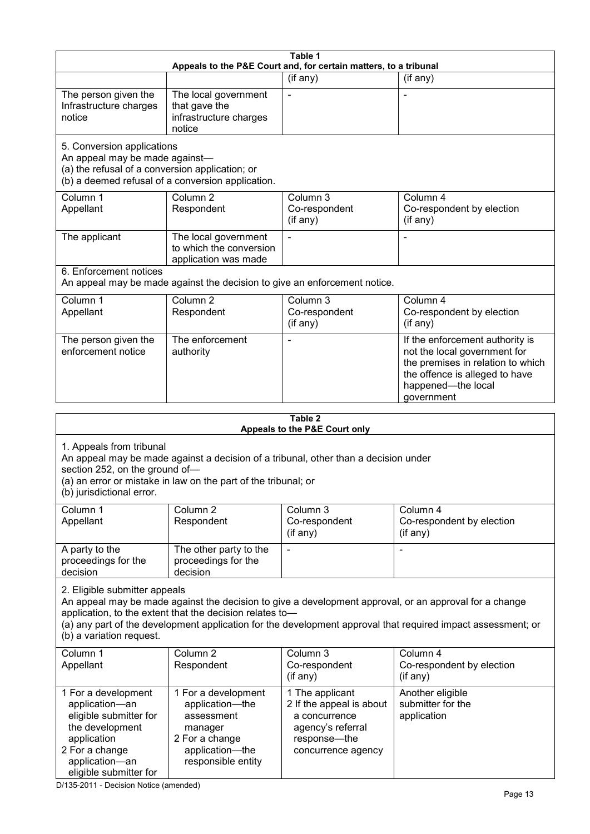|                                                                                                                                                                                                                                                  |                                                                                                                            | Table 1                                                                                                                 |                                                                                                                                                                                                                        |  |  |
|--------------------------------------------------------------------------------------------------------------------------------------------------------------------------------------------------------------------------------------------------|----------------------------------------------------------------------------------------------------------------------------|-------------------------------------------------------------------------------------------------------------------------|------------------------------------------------------------------------------------------------------------------------------------------------------------------------------------------------------------------------|--|--|
| Appeals to the P&E Court and, for certain matters, to a tribunal                                                                                                                                                                                 |                                                                                                                            |                                                                                                                         |                                                                                                                                                                                                                        |  |  |
|                                                                                                                                                                                                                                                  |                                                                                                                            | (if any)                                                                                                                | (if any)                                                                                                                                                                                                               |  |  |
| The person given the<br>Infrastructure charges<br>notice                                                                                                                                                                                         | The local government<br>that gave the<br>infrastructure charges<br>notice                                                  |                                                                                                                         |                                                                                                                                                                                                                        |  |  |
| 5. Conversion applications<br>An appeal may be made against-<br>(a) the refusal of a conversion application; or                                                                                                                                  | (b) a deemed refusal of a conversion application.                                                                          |                                                                                                                         |                                                                                                                                                                                                                        |  |  |
| Column 1<br>Appellant                                                                                                                                                                                                                            | Column <sub>2</sub><br>Respondent                                                                                          | Column 3<br>Co-respondent<br>(if any)                                                                                   | Column 4<br>Co-respondent by election<br>(if any)                                                                                                                                                                      |  |  |
| The applicant                                                                                                                                                                                                                                    | The local government<br>to which the conversion<br>application was made                                                    |                                                                                                                         |                                                                                                                                                                                                                        |  |  |
| 6. Enforcement notices                                                                                                                                                                                                                           | An appeal may be made against the decision to give an enforcement notice.                                                  |                                                                                                                         |                                                                                                                                                                                                                        |  |  |
| Column 1<br>Appellant                                                                                                                                                                                                                            | Column <sub>2</sub><br>Respondent                                                                                          | Column 3<br>Co-respondent<br>(if any)                                                                                   | Column 4<br>Co-respondent by election<br>(if any)                                                                                                                                                                      |  |  |
| The person given the<br>enforcement notice                                                                                                                                                                                                       | The enforcement<br>authority                                                                                               |                                                                                                                         | If the enforcement authority is<br>not the local government for<br>the premises in relation to which<br>the offence is alleged to have<br>happened-the local<br>government                                             |  |  |
| Table 2                                                                                                                                                                                                                                          |                                                                                                                            |                                                                                                                         |                                                                                                                                                                                                                        |  |  |
| Appeals to the P&E Court only                                                                                                                                                                                                                    |                                                                                                                            |                                                                                                                         |                                                                                                                                                                                                                        |  |  |
| 1. Appeals from tribunal<br>An appeal may be made against a decision of a tribunal, other than a decision under<br>section 252, on the ground of-<br>(a) an error or mistake in law on the part of the tribunal; or<br>(b) jurisdictional error. |                                                                                                                            |                                                                                                                         |                                                                                                                                                                                                                        |  |  |
| Column 1<br>Appellant                                                                                                                                                                                                                            | Column <sub>2</sub><br>Respondent                                                                                          | Column 3<br>Co-respondent<br>(if any)                                                                                   | Column 4<br>Co-respondent by election<br>$($ if any $)$                                                                                                                                                                |  |  |
| A party to the<br>proceedings for the<br>decision                                                                                                                                                                                                | The other party to the<br>proceedings for the<br>decision                                                                  |                                                                                                                         |                                                                                                                                                                                                                        |  |  |
| 2. Eligible submitter appeals<br>(b) a variation request.                                                                                                                                                                                        | application, to the extent that the decision relates to-                                                                   |                                                                                                                         | An appeal may be made against the decision to give a development approval, or an approval for a change<br>(a) any part of the development application for the development approval that required impact assessment; or |  |  |
| Column 1<br>Appellant                                                                                                                                                                                                                            | Column <sub>2</sub><br>Respondent                                                                                          | Column 3<br>Co-respondent<br>(if any)                                                                                   | Column 4<br>Co-respondent by election<br>(if any)                                                                                                                                                                      |  |  |
| 1 For a development<br>application-an<br>eligible submitter for<br>the development<br>application<br>2 For a change<br>application-an<br>eligible submitter for                                                                                  | 1 For a development<br>application-the<br>assessment<br>manager<br>2 For a change<br>application-the<br>responsible entity | 1 The applicant<br>2 If the appeal is about<br>a concurrence<br>agency's referral<br>response-the<br>concurrence agency | Another eligible<br>submitter for the<br>application                                                                                                                                                                   |  |  |

D/135-2011 - Decision Notice (amended)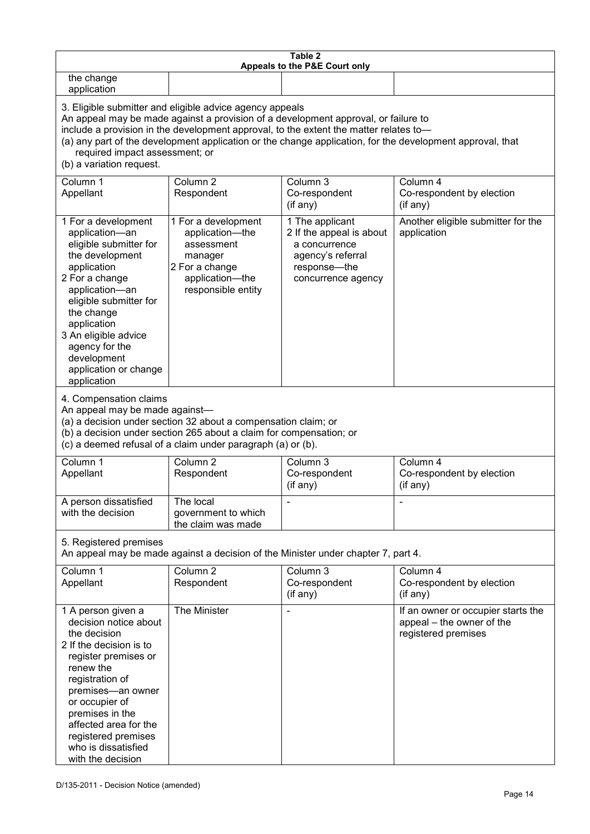| Table 2<br>Appeals to the P&E Court only                                                                                                                                                                                                                                                                                                                                                                           |                                                                                                                            |                                                                                                                         |                                                                                        |  |
|--------------------------------------------------------------------------------------------------------------------------------------------------------------------------------------------------------------------------------------------------------------------------------------------------------------------------------------------------------------------------------------------------------------------|----------------------------------------------------------------------------------------------------------------------------|-------------------------------------------------------------------------------------------------------------------------|----------------------------------------------------------------------------------------|--|
| the change<br>application                                                                                                                                                                                                                                                                                                                                                                                          |                                                                                                                            |                                                                                                                         |                                                                                        |  |
| 3. Eligible submitter and eligible advice agency appeals<br>An appeal may be made against a provision of a development approval, or failure to<br>include a provision in the development approval, to the extent the matter relates to-<br>(a) any part of the development application or the change application, for the development approval, that<br>required impact assessment; or<br>(b) a variation request. |                                                                                                                            |                                                                                                                         |                                                                                        |  |
| Column 1<br>Appellant                                                                                                                                                                                                                                                                                                                                                                                              | Column <sub>2</sub><br>Respondent                                                                                          | Column 3<br>Co-respondent<br>(if any)                                                                                   | Column 4<br>Co-respondent by election<br>(if any)                                      |  |
| 1 For a development<br>application-an<br>eligible submitter for<br>the development<br>application<br>2 For a change<br>application-an<br>eligible submitter for<br>the change<br>application<br>3 An eligible advice<br>agency for the<br>development<br>application or change<br>application                                                                                                                      | 1 For a development<br>application-the<br>assessment<br>manager<br>2 For a change<br>application-the<br>responsible entity | 1 The applicant<br>2 If the appeal is about<br>a concurrence<br>agency's referral<br>response-the<br>concurrence agency | Another eligible submitter for the<br>application                                      |  |
| 4. Compensation claims<br>An appeal may be made against-<br>(a) a decision under section 32 about a compensation claim; or<br>(b) a decision under section 265 about a claim for compensation; or<br>(c) a deemed refusal of a claim under paragraph (a) or (b).                                                                                                                                                   |                                                                                                                            |                                                                                                                         |                                                                                        |  |
| Column 1<br>Appellant                                                                                                                                                                                                                                                                                                                                                                                              | Column <sub>2</sub><br>Respondent                                                                                          | Column 3<br>Co-respondent<br>(if any)                                                                                   | Column 4<br>Co-respondent by election<br>(if any)                                      |  |
| A person dissatisfied<br>with the decision                                                                                                                                                                                                                                                                                                                                                                         | The local<br>government to which<br>the claim was made                                                                     |                                                                                                                         |                                                                                        |  |
| 5. Registered premises<br>An appeal may be made against a decision of the Minister under chapter 7, part 4.                                                                                                                                                                                                                                                                                                        |                                                                                                                            |                                                                                                                         |                                                                                        |  |
| Column 1<br>Appellant                                                                                                                                                                                                                                                                                                                                                                                              | Column <sub>2</sub><br>Respondent                                                                                          | Column 3<br>Co-respondent<br>(if any)                                                                                   | Column 4<br>Co-respondent by election<br>(if any)                                      |  |
| 1 A person given a<br>decision notice about<br>the decision<br>2 If the decision is to<br>register premises or<br>renew the<br>registration of<br>premises-an owner<br>or occupier of<br>premises in the<br>affected area for the<br>registered premises<br>who is dissatisfied<br>with the decision                                                                                                               | The Minister                                                                                                               |                                                                                                                         | If an owner or occupier starts the<br>appeal - the owner of the<br>registered premises |  |